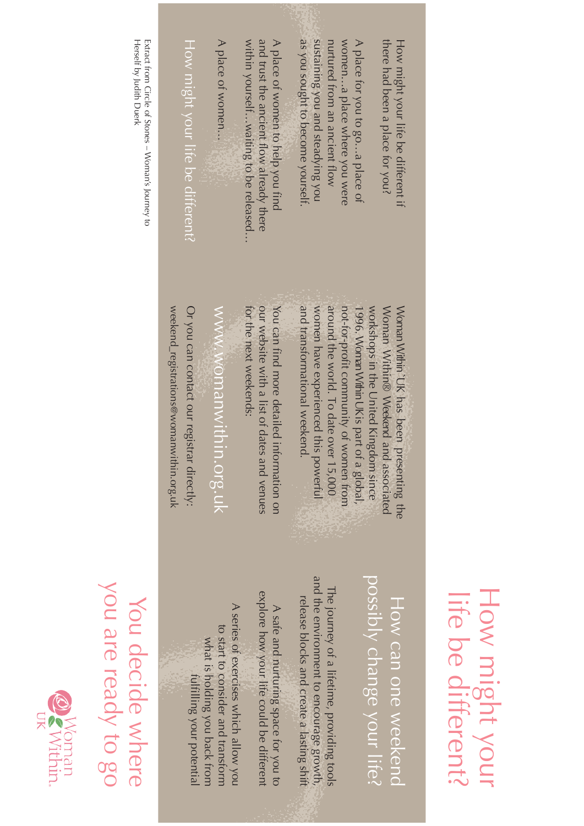| Extract from Circle of Stones – Woman's Journey to<br>Herself by Judith Duerk | as you sought to become yourself.<br>within yourselfwaiting to be released.<br>and trust the ancient flow already there<br>sustaining you and steadying you<br>there had been a place tor you?<br>A place of women<br>A place of women to help you find<br>womena place where you were<br>How might your life be different?<br>nurtured from an ancient flow<br>A place tor you to goa place of<br>How might your life be different if                                                                                                                                                         |
|-------------------------------------------------------------------------------|------------------------------------------------------------------------------------------------------------------------------------------------------------------------------------------------------------------------------------------------------------------------------------------------------------------------------------------------------------------------------------------------------------------------------------------------------------------------------------------------------------------------------------------------------------------------------------------------|
|                                                                               | our website with a list of da<br>and transformational weekend.<br>around the world. To date over 15,000<br>not-for-profit community of women from<br>weekend_registrations@womanwithin.org.uk<br>tor the next weekends:<br>women have experienced this powerful<br>workshops in the United Kingdom since<br>Or you can contact our regi<br>www.womanwithin.org.uk<br>You can find more detailed<br>Woman Within® Weekend<br>Woman Within `UK has been<br>1996. Woman Within UK is part of a global,<br>strar directly:<br>tes and venues<br>information on<br>and associated<br>presenting the |
| You decide where                                                              | and the environment to encourage growth,<br>possibly change your life?<br>The journey of a lifetime, providing tools<br>explore how your life could be different<br>How can one weekend<br>release blocks and create a lasting shift<br>A series of exercises which allow you<br>A sate and nurturing space for you to<br>to start to consider and transform<br>what is holding you back from<br>fulfilling your potential                                                                                                                                                                     |

## How might your<br>life be different? How might your life be different?

You decide where<br>you are ready to go you are ready to go You decide where **Q** Woman<br>**Q** Within.